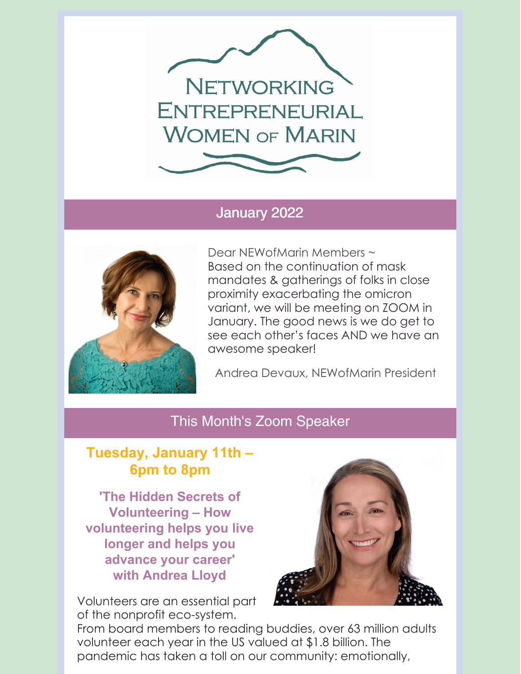

#### January 2022



Dear NEWofMarin Members ~ Based on the continuation of mask mandates & gatherings of folks in close proximity exacerbating the omicron variant, we will be meeting on ZOOM in January. The good news is we do get to see each other's faces AND we have an awesome speaker!

Andrea Devaux, NEWofMarin President

#### This Month's Zoom Speaker

### **Tuesday, January 11th – 6pm to 8pm**

**'The Hidden Secrets of Volunteering – How volunteering helps you live longer and helps you advance your career' with Andrea Lloyd**

Volunteers are an essential part of the nonprofit eco-system.



From board members to reading buddies, over 63 million adults volunteer each year in the US valued at \$1.8 billion. The pandemic has taken a toll on our community: emotionally,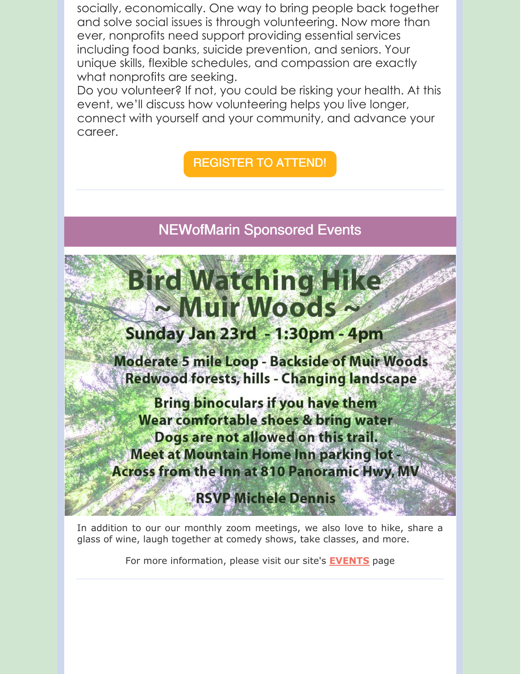socially, economically. One way to bring people back together and solve social issues is through volunteering. Now more than ever, nonprofits need support providing essential services including food banks, suicide prevention, and seniors. Your unique skills, flexible schedules, and compassion are exactly what nonprofits are seeking.

Do you volunteer? If not, you could be risking your health. At this event, we'll discuss how volunteering helps you live longer, connect with yourself and your community, and advance your career.

REGISTER TO ATTEND!

NEWofMarin Sponsored Events

# Bird Watching Hike ~ Muir Woods ~

## Sunday Jan 23rd - 1:30pm - 4pm

**Moderate 5 mile Loop - Backside of Muir Woods** Redwood forests, hills - Changing landscape

**Bring binoculars if you have them** Wear comfortable shoes & bring water Dogs are not allowed on this trail. **Meet at Mountain Home Inn parking lot -Across from the Inn at 810 Panoramic Hwy, MV** 

**RSVP Michele Dennis** 

In addition to our our monthly zoom meetings, we also love to hike, share a glass of wine, laugh together at comedy shows, take classes, and more.

For more information, please visit our site's **EVENTS** page